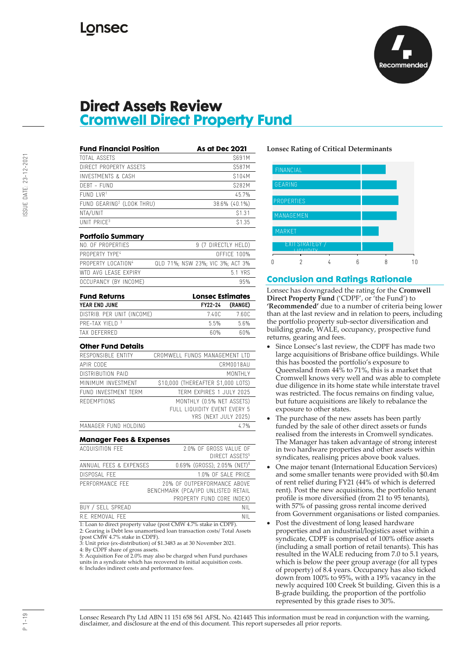

### **Direct Assets Review Cromwell Direct Property Fund**

| TOTAL ASSETS                               |                                                                                                | S691M               |
|--------------------------------------------|------------------------------------------------------------------------------------------------|---------------------|
| DIRECT PROPERTY ASSETS                     |                                                                                                | \$587M              |
| INVESTMENTS & CASH                         |                                                                                                | S104M               |
| DEBT - FUND                                |                                                                                                | <b>S282M</b>        |
| $FUND$ $LVR1$                              |                                                                                                | 45.7%               |
| FUND GEARING <sup>2</sup> (LOOK THRU)      |                                                                                                | 38.6% (40.1%)       |
| NTA/UNIT                                   |                                                                                                | \$1.31              |
| UNIT PRICE <sup>3</sup>                    |                                                                                                | <b>\$1.35</b>       |
| Portfolio Summary                          |                                                                                                |                     |
| NO. OF PROPERTIES                          | 9 (7 DIRECTLY HELD)                                                                            |                     |
| PROPERTY TYPE <sup>4</sup>                 |                                                                                                | <b>OFFICE 100%</b>  |
| PROPERTY LOCATION <sup>4</sup>             | QLD 71%; NSW 23%; VIC 3%; ACT 3%                                                               |                     |
| WTD AVG LEASE EXPIRY                       |                                                                                                | 5.1 YRS             |
| OCCUPANCY (BY INCOME)                      |                                                                                                | 95%                 |
| <b>Fund Returns</b>                        | <b>Lonsec Estimates</b>                                                                        |                     |
| YEAR END JUNE                              | FY22-24                                                                                        | (RANGE)             |
| DISTRIB. PER UNIT (INCOME)                 | 7.40C                                                                                          | 7.60C               |
| PRE-TAX YIELD <sup>3</sup>                 | 5.5%                                                                                           | 5.6%                |
| TAX DEFERRED                               | 60%                                                                                            | 60%                 |
| Other Fund Details                         |                                                                                                |                     |
| RESPONSIBLE ENTITY                         | CROMWELL FUNDS MANAGEMENT LTD                                                                  |                     |
| APIR CODE                                  |                                                                                                | CRM0018AU           |
| DISTRIBUTION PAID                          |                                                                                                | MONTHI <sub>Y</sub> |
| MINIMUM INVESTMENT                         | \$10,000 (THEREAFTER \$1,000 LOTS)                                                             |                     |
| FUND INVESTMENT TERM                       | TERM EXPIRES 1 JULY 2025                                                                       |                     |
| <b>REDEMPTIONS</b>                         | MONTHLY (0.5% NET ASSETS)                                                                      |                     |
|                                            | FULL LIQUIDITY EVENT EVERY 5                                                                   |                     |
|                                            | YRS (NEXT JULY 2025)                                                                           |                     |
| MANAGER FUND HOLDING                       |                                                                                                | 4.7%                |
| Manager Fees & Expenses<br>ACQUISITION FFF | 2.0% OF GROSS VALUE OF                                                                         |                     |
|                                            | DIRECT ASSETS <sup>5</sup>                                                                     |                     |
| ANNUAL FEES & EXPENSES                     | 0.69% (GROSS); 2.05% (NET) <sup>6</sup>                                                        |                     |
| DISPOSAL FEE                               | 1.0% OF SALE PRICE                                                                             |                     |
| PERFORMANCE FEE                            | 20% OF OUTPERFORMANCE ABOVE<br>BENCHMARK (PCA/IPD UNLISTED RETAIL<br>PROPERTY FUND CORE INDEX) |                     |
| BUY / SELL SPREAD                          |                                                                                                | <b>NIL</b>          |
|                                            |                                                                                                |                     |

2: Gearing is Debt less unamortised loan transaction costs/ Total Assets (post CMW 4.7% stake in CDPF).

3: Unit price (ex-distribution) of \$1.3483 as at 30 November 2021. 4: By CDPF share of gross assets.

5: Acquisition Fee of 2.0% may also be charged when Fund purchases units in a syndicate which has recovered its initial acquisition costs. 6: Includes indirect costs and performance fees.

### **Lonsec Rating of Critical Determinants**



### **Conclusion and Ratings Rationale**

Lonsec has downgraded the rating for the **Cromwell Direct Property Fund** ('CDPF', or 'the Fund') to **'Recommended'** due to a number of criteria being lower than at the last review and in relation to peers, including the portfolio property sub-sector diversification and building grade, WALE, occupancy, prospective fund returns, gearing and fees.

- Since Lonsec's last review, the CDPF has made two large acquisitions of Brisbane office buildings. While this has boosted the portfolio's exposure to Queensland from 44% to 71%, this is a market that Cromwell knows very well and was able to complete due diligence in its home state while interstate travel was restricted. The focus remains on finding value, but future acquisitions are likely to rebalance the exposure to other states.
- The purchase of the new assets has been partly funded by the sale of other direct assets or funds realised from the interests in Cromwell syndicates. The Manager has taken advantage of strong interest in two hardware properties and other assets within syndicates, realising prices above book values.
- One major tenant (International Education Services) and some smaller tenants were provided with \$0.4m of rent relief during FY21 (44% of which is deferred rent). Post the new acquisitions, the portfolio tenant profile is more diversified (from 21 to 95 tenants), with 57% of passing gross rental income derived from Government organisations or listed companies.
- Post the divestment of long leased hardware properties and an industrial/logistics asset within a syndicate, CDPF is comprised of 100% office assets (including a small portion of retail tenants). This has resulted in the WALE reducing from 7.0 to 5.1 years, which is below the peer group average (for all types of property) of 8.4 years. Occupancy has also ticked down from 100% to 95%, with a 19% vacancy in the newly acquired 100 Creek St building. Given this is a B-grade building, the proportion of the portfolio represented by this grade rises to 30%.

Lonsec Research Pty Ltd ABN 11 151 658 561 AFSL No. 421445 This information must be read in conjunction with the warning, disclaimer, and disclosure at the end of this document. This report supersedes all prior reports.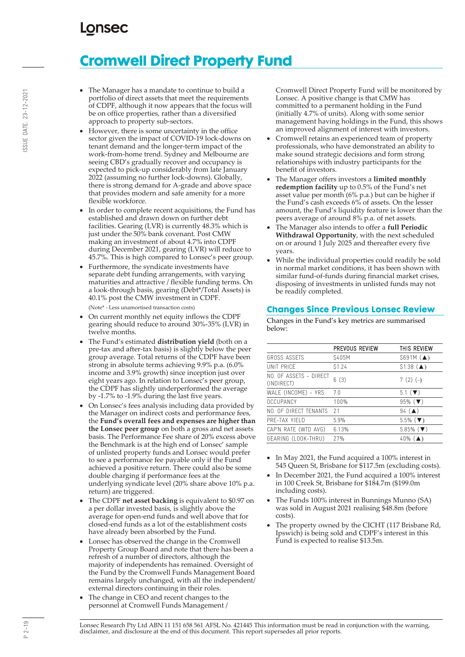# **Cromwell Direct Property Fund**

- The Manager has a mandate to continue to build a portfolio of direct assets that meet the requirements of CDPF, although it now appears that the focus will be on office properties, rather than a diversified approach to property sub-sectors.
- However, there is some uncertainty in the office sector given the impact of COVID-19 lock-downs on tenant demand and the longer-term impact of the work-from-home trend. Sydney and Melbourne are seeing CBD's gradually recover and occupancy is expected to pick-up considerably from late January 2022 (assuming no further lock-downs). Globally, there is strong demand for A-grade and above space that provides modern and safe amenity for a more flexible workforce.
- In order to complete recent acquisitions, the Fund has established and drawn down on further debt facilities. Gearing (LVR) is currently 48.3% which is just under the 50% bank covenant. Post CMW making an investment of about 4.7% into CDPF during December 2021, gearing (LVR) will reduce to 45.7%. This is high compared to Lonsec's peer group.
- Furthermore, the syndicate investments have separate debt funding arrangements, with varying maturities and attractive / flexible funding terms. On a look-through basis, gearing (Debt\*/Total Assets) is 40.1% post the CMW investment in CDPF.

(Note\* - Less unamortised transaction costs)

- On current monthly net equity inflows the CDPF gearing should reduce to around 30%-35% (LVR) in twelve months.
- The Fund's estimated **distribution yield** (both on a pre-tax and after-tax basis) is slightly below the peer group average. Total returns of the CDPF have been strong in absolute terms achieving 9.9% p.a. (6.0% income and 3.9% growth) since inception just over eight years ago. In relation to Lonsec's peer group, the CDPF has slightly underperformed the average by -1.7% to -1.9% during the last five years.
- On Lonsec's fees analysis including data provided by the Manager on indirect costs and performance fees, the **Fund's overall fees and expenses are higher than the Lonsec peer group** on both a gross and net assets basis. The Performance Fee share of 20% excess above the Benchmark is at the high end of Lonsec' sample of unlisted property funds and Lonsec would prefer to see a performance fee payable only if the Fund achieved a positive return. There could also be some double charging if performance fees at the underlying syndicate level (20% share above 10% p.a. return) are triggered.
- The CDPF **net asset backing** is equivalent to \$0.97 on a per dollar invested basis, is slightly above the average for open-end funds and well above that for closed-end funds as a lot of the establishment costs have already been absorbed by the Fund.
- Lonsec has observed the change in the Cromwell Property Group Board and note that there has been a refresh of a number of directors, although the majority of independents has remained. Oversight of the Fund by the Cromwell Funds Management Board remains largely unchanged, with all the independent/ external directors continuing in their roles.
- The change in CEO and recent changes to the personnel at Cromwell Funds Management /

Cromwell Direct Property Fund will be monitored by Lonsec. A positive change is that CMW has committed to a permanent holding in the Fund (initially 4.7% of units). Along with some senior management having holdings in the Fund, this shows an improved alignment of interest with investors.

- Cromwell retains an experienced team of property professionals, who have demonstrated an ability to make sound strategic decisions and form strong relationships with industry participants for the benefit of investors.
- The Manager offers investors a **limited monthly redemption facility** up to 0.5% of the Fund's net asset value per month (6% p.a.) but can be higher if the Fund's cash exceeds 6% of assets. On the lesser amount, the Fund's liquidity feature is lower than the peers average of around 8% p.a. of net assets.
- The Manager also intends to offer a **full Periodic Withdrawal Opportunity**, with the next scheduled on or around  $1$ July 2025 and thereafter every five years.
- While the individual properties could readily be sold in normal market conditions, it has been shown with similar fund-of-funds during financial market crises, disposing of investments in unlisted funds may not be readily completed.

### **Changes Since Previous Lonsec Review**

Changes in the Fund's key metrics are summarised below:

|                                      | PREVOUS REVIEW    | THIS REVIEW                 |
|--------------------------------------|-------------------|-----------------------------|
| GROSS ASSFTS                         | S405M             | $$691M (\triangle)$         |
| UNIT PRICF                           | S <sub>1.24</sub> | $$1.38$ ( $\triangle$ )     |
| NO. OF ASSETS - DIRECT<br>(INDIRECT) | 6(3)              | $7(2)(-)$                   |
| WALE (INCOME) - YRS                  | 70                | $5.1$ ( $\nabla$ )          |
| OCCUPANCY                            | 100%              | $95\%$ ( $\nabla$ )         |
| NO. OF DIRECT TENANTS                | 21                | $94 \; (\triangle)$         |
| PRE-TAX YIFI D                       | 5.9%              | $5.5\%$ ( $\nabla$ )        |
| CAP'N RATE (WTD AVG)                 | 6.13%             | $5.85\%$ ( $\nabla$ )       |
| GEARING (LOOK-THRU)                  | 27%               | $40\%$ ( $\blacktriangle$ ) |
|                                      |                   |                             |

- In May 2021, the Fund acquired a 100% interest in 545 Queen St, Brisbane for \$117.5m (excluding costs).
- In December 2021, the Fund acquired a 100% interest in 100 Creek St, Brisbane for \$184.7m (\$199.0m including costs).
- The Funds 100% interest in Bunnings Munno (SA) was sold in August 2021 realising \$48.8m (before costs).
- The property owned by the CICHT (117 Brisbane Rd, Ipswich) is being sold and CDPF's interest in this Fund is expected to realise \$13.5m.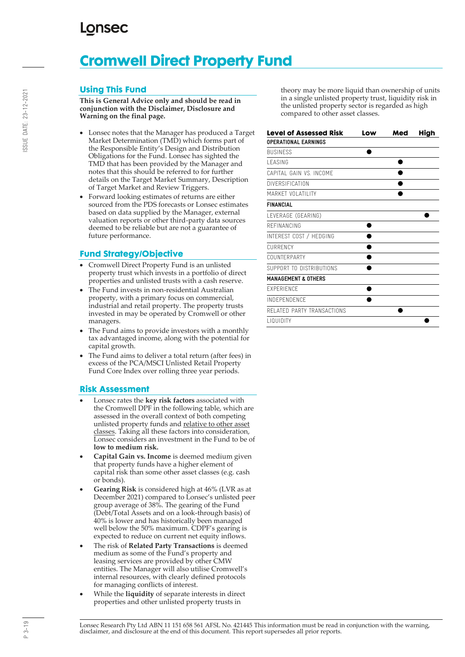# **Cromwell Direct Property Fund**

### **Using This Fund**

**This is General Advice only and should be read in conjunction with the Disclaimer, Disclosure and Warning on the final page.**

- Lonsec notes that the Manager has produced a Target Market Determination (TMD) which forms part of the Responsible Entity's Design and Distribution Obligations for the Fund. Lonsec has sighted the TMD that has been provided by the Manager and notes that this should be referred to for further details on the Target Market Summary, Description of Target Market and Review Triggers.
- Forward looking estimates of returns are either sourced from the PDS forecasts or Lonsec estimates based on data supplied by the Manager, external valuation reports or other third-party data sources deemed to be reliable but are not a guarantee of future performance.

### **Fund Strategy/Objective**

- Cromwell Direct Property Fund is an unlisted property trust which invests in a portfolio of direct properties and unlisted trusts with a cash reserve.
- The Fund invests in non-residential Australian property, with a primary focus on commercial, industrial and retail property. The property trusts invested in may be operated by Cromwell or other managers.
- The Fund aims to provide investors with a monthly tax advantaged income, along with the potential for capital growth.
- The Fund aims to deliver a total return (after fees) in excess of the PCA/MSCI Unlisted Retail Property Fund Core Index over rolling three year periods.

### **Risk Assessment**

- Lonsec rates the **key risk factors** associated with the Cromwell DPF in the following table, which are assessed in the overall context of both competing unlisted property funds and relative to other asset classes. Taking all these factors into consideration, Lonsec considers an investment in the Fund to be of **low to medium risk.**
- **Capital Gain vs. Income** is deemed medium given that property funds have a higher element of capital risk than some other asset classes (e.g. cash or bonds).
- **Gearing Risk** is considered high at 46% (LVR as at December 2021) compared to Lonsec's unlisted peer group average of 38%. The gearing of the Fund (Debt/Total Assets and on a look-through basis) of 40% is lower and has historically been managed well below the 50% maximum. CDPF's gearing is expected to reduce on current net equity inflows.
- The risk of **Related Party Transactions** is deemed medium as some of the Fund's property and leasing services are provided by other CMW entities. The Manager will also utilise Cromwell's internal resources, with clearly defined protocols for managing conflicts of interest.
- While the **liquidity** of separate interests in direct properties and other unlisted property trusts in

theory may be more liquid than ownership of units in a single unlisted property trust, liquidity risk in the unlisted property sector is regarded as high compared to other asset classes.

| <b>Level of Assessed Risk</b>  | Low | Med | High |
|--------------------------------|-----|-----|------|
| <b>OPERATIONAL EARNINGS</b>    |     |     |      |
| <b>BUSINESS</b>                |     |     |      |
| <b>I FASING</b>                |     |     |      |
| CAPITAL GAIN VS. INCOME        |     |     |      |
| DIVERSIFICATION                |     |     |      |
| MARKET VOLATILITY              |     |     |      |
| <b>FINANCIAL</b>               |     |     |      |
| LEVERAGE (GEARING)             |     |     |      |
| REFINANCING                    |     |     |      |
| INTEREST COST / HEDGING        |     |     |      |
| <b>CURRENCY</b>                |     |     |      |
| COUNTERPARTY                   |     |     |      |
| SUPPORT TO DISTRIBUTIONS       |     |     |      |
| <b>MANAGEMENT &amp; OTHERS</b> |     |     |      |
| <b>FXPERIENCE</b>              |     |     |      |
| INDEPENDENCE                   |     |     |      |
| RELATED PARTY TRANSACTIONS     |     |     |      |
| <b>LIQUIDITY</b>               |     |     |      |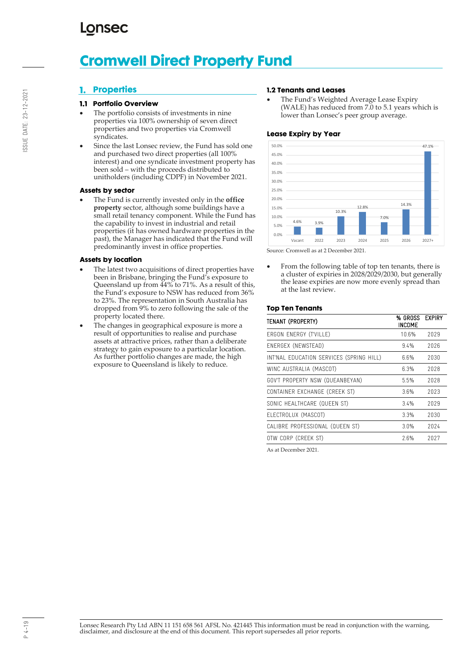## **LONSEC**

# **Cromwell Direct Property Fund**

### **Properties**

### **Portfolio Overview**

- The portfolio consists of investments in nine properties via 100% ownership of seven direct properties and two properties via Cromwell syndicates.
- Since the last Lonsec review, the Fund has sold one and purchased two direct properties (all 100% interest) and one syndicate investment property has been sold – with the proceeds distributed to unitholders (including CDPF) in November 2021.

### **Assets by sector**

• The Fund is currently invested only in the **office property** sector, although some buildings have a small retail tenancy component. While the Fund has the capability to invest in industrial and retail properties (it has owned hardware properties in the past), the Manager has indicated that the Fund will predominantly invest in office properties.

#### **Assets by location**

- The latest two acquisitions of direct properties have been in Brisbane, bringing the Fund's exposure to Queensland up from 44% to 71%. As a result of this, the Fund's exposure to NSW has reduced from 36% to 23%. The representation in South Australia has dropped from 9% to zero following the sale of the property located there.
- The changes in geographical exposure is more a result of opportunities to realise and purchase assets at attractive prices, rather than a deliberate strategy to gain exposure to a particular location. As further portfolio changes are made, the high exposure to Queensland is likely to reduce.

#### **1.2 Tenants and Leases**

• The Fund's Weighted Average Lease Expiry (WALE) has reduced from 7.0 to 5.1 years which is lower than Lonsec's peer group average.

### **Lease Expiry by Year**



Source: Cromwell as at 2 December 2021.

From the following table of top ten tenants, there is a cluster of expiries in 2028/2029/2030, but generally the lease expiries are now more evenly spread than at the last review.

### **Top Ten Tenants**

| TENANT (PROPERTY)                        | % GROSS<br>INCOME | <b>EXPIRY</b> |
|------------------------------------------|-------------------|---------------|
| ERGON ENERGY (T'VILLE)                   | 10.6%             | 2029          |
| ENERGEX (NEWSTEAD)                       | 9.4%              | 2026          |
| INT'NAL EDUCATION SERVICES (SPRING HILL) | 6.6%              | 2030          |
| WINC AUSTRALIA (MASCOT)                  | 6.3%              | 2028          |
| GOV'T PROPERTY NSW (QUEANBEYAN)          | 5.5%              | 2028          |
| CONTAINER EXCHANGE (CREEK ST)            | 3.6%              | 2023          |
| SONIC HEALTHCARE (QUEEN ST)              | 3.4%              | 2029          |
| ELECTROLUX (MASCOT)                      | 3.3%              | 2030          |
| CALIBRE PROFESSIONAL (QUEEN ST)          | 3.0%              | 2024          |
| OTW CORP (CREEK ST)                      | 2.6%              | 2027          |
|                                          |                   |               |

As at December 2021.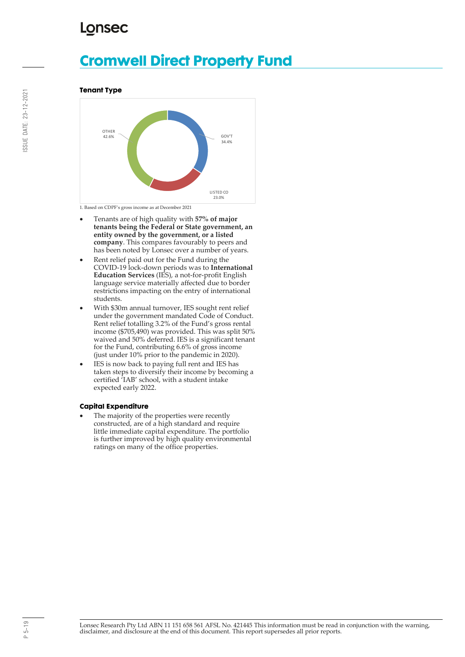# **Cromwell Direct Property Fund**

**Tenant Type**



1. Based on CDPF's gross income as at December 2021

- Tenants are of high quality with **57% of major tenants being the Federal or State government, an entity owned by the government, or a listed company**. This compares favourably to peers and has been noted by Lonsec over a number of years.
- Rent relief paid out for the Fund during the COVID-19 lock-down periods was to **International Education Services** (IES), a not-for-profit English language service materially affected due to border restrictions impacting on the entry of international students.
- With \$30m annual turnover, IES sought rent relief under the government mandated Code of Conduct. Rent relief totalling 3.2% of the Fund's gross rental income (\$705,490) was provided. This was split 50% waived and 50% deferred. IES is a significant tenant for the Fund, contributing 6.6% of gross income (just under 10% prior to the pandemic in 2020).
- IES is now back to paying full rent and IES has taken steps to diversify their income by becoming a certified 'IAB' school, with a student intake expected early 2022.

### **Capital Expenditure**

The majority of the properties were recently constructed, are of a high standard and require little immediate capital expenditure. The portfolio is further improved by high quality environmental ratings on many of the office properties.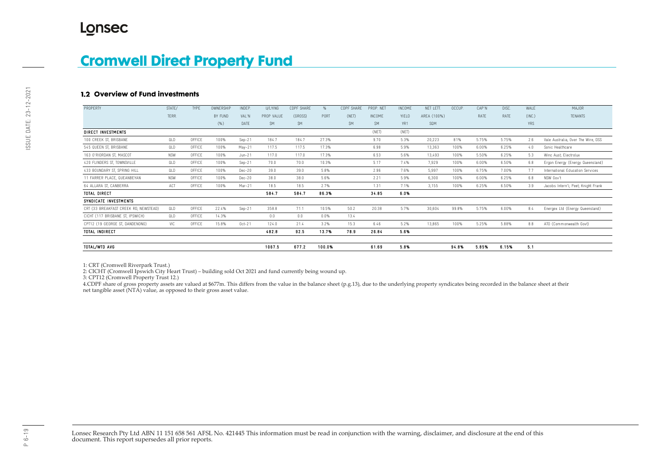#### **Overview of Fund investments**

| <u> SIOIHWGII DIIGU FIUPGIIY FUHU</u> |            |        |           |          |            |                   |               |            |               |               |             |        |       |       |            |                                     |
|---------------------------------------|------------|--------|-----------|----------|------------|-------------------|---------------|------------|---------------|---------------|-------------|--------|-------|-------|------------|-------------------------------------|
| .2 Overview of Fund investments       |            |        |           |          |            |                   |               |            |               |               |             |        |       |       |            |                                     |
| PROPERTY                              | STATE/     | TYPE   | OWNERSHIP | INDEP.   | U/LYING    | <b>CDPF SHARE</b> | $\frac{9}{6}$ | CDPF SHARE | PROP. NET     | <b>INCOME</b> | NET LETT.   | OCCUP. | CAP'N | DISC. | WALE       | <b>MAJOR</b>                        |
|                                       | TERR.      |        | BY FUND   | VAL'N    | PROP VALUE | (GROSS)           | PORT          | (NET)      | <b>INCOME</b> | YIELD         | AREA (100%) |        | RATE  | RATE  | (INC.)     | <b>TENANTS</b>                      |
|                                       |            |        | (% )      | DATE     | <b>SM</b>  | <b>SM</b>         |               | <b>SM</b>  | SM.           | YR1           | SOM         |        |       |       | <b>YRS</b> |                                     |
| DIRECT INVESTMENTS                    |            |        |           |          |            |                   |               |            | (NET)         | (NET)         |             |        |       |       |            |                                     |
| 100 CREEK ST. BRISBANE                | QLD        | OFFICE | 100%      | $Sen-21$ | 184.7      | 184.7             | 27.3%         |            | 9.70          | 5.3%          | 20.223      | 81%    | 5.75% | 5.75% | 2.6        | Vale Australia, Over The Wire, DSS  |
| 545 QUEEN ST. BRISBANE                | OLD        | OFFICE | 100%      | May-21   | 117.5      | 117.5             | 17.3%         |            | 6.98          | 5.9%          | 13,363      | 100%   | 6.00% | 6.25% | 4.0        | Sonic Healthcare                    |
| 163 O'RIORDAN ST. MASCOT              | <b>NSW</b> | OFFICE | 100%      | $Jun-21$ | 117.0      | 117.0             | 17.3%         |            | 6.53          | 5.6%          | 13,493      | 100%   | 5.50% | 6.25% | 5.3        | Winc Aust; Electrolux               |
| 420 FLINDERS ST, TOWNSVILLE           | OLD        | OFFICE | 100%      | $Sep-21$ | 70.0       | 70.0              | 10.3%         |            | 5.17          | 7.4%          | 7,929       | 100%   | 6.00% | 6.50% | 6.8        | Ergon Energy (Energy Queensland)    |
| 433 BOUNDARY ST, SPRING HILL          | OLD        | OFFICE | 100%      | Dec-20   | 39.0       | 39.0              | 5.8%          |            | 2.96          | 7.6%          | 5,997       | 100%   | 6.75% | 7.00% | 7.7        | International Education Services    |
| 11 FARRER PLACE, QUEANBEYAN           | <b>NSW</b> | OFFICE | 100%      | Dec-20   | 38.0       | 38.0              | 5.6%          |            | 2.21          | 5.9%          | 6,300       | 100%   | 6.00% | 6.25% | 6.8        | NSW Gov't                           |
| 64 ALLARA ST. CANBERRA                | ACT        | OFFICE | 100%      | Mar-21   | 18.5       | 18.5              | 2.7%          |            | 1.31          | 7.1%          | 3,155       | 100%   | 6.25% | 6.50% | 3.9        | Jacobs Intern'l; Peet; Knight Frank |
| <b>TOTAL DIRECT</b>                   |            |        |           |          | 584.7      | 584.7             | 86.3%         |            | 34.85         | 6.0%          |             |        |       |       |            |                                     |
| SYNDICATE INVESTMENTS                 |            |        |           |          |            |                   |               |            |               |               |             |        |       |       |            |                                     |
| CRT (33 BREAKFAST CREEK RD, NEWSTEAD) | 0LD        | OFFICE | 22.4%     | $Sep-21$ | 358.8      | 71.1              | 10.5%         | 50.2       | 20.38         | 5.7%          | 30,604      | 99.8%  | 5.75% | 6.00% | 8.4        | Energex Ltd (Energy Queensland)     |
| CICHT (117 BRISBANE ST, IPSWICH)      | 0LD        | OFFICE | 14.3%     |          | 0.0        | 0.0               | $0.0\%$       | 13.4       |               |               |             |        |       |       |            |                                     |
| CPT12 (19 GEORGE ST, DANDENONG)       | VIC        | OFFICE | 15.8%     | $Oct-21$ | 124.0      | 21.4              | $3.2\%$       | 15.3       | 6.46          | 5.2%          | 13,865      | 100%   | 5.25% | 5.88% | 8.8        | ATO (Commonwealth Govt)             |
| <b>TOTAL INDIRECT</b>                 |            |        |           |          | 482.8      | 92.5              | 13.7%         | 78.9       | 26.84         | 5.6%          |             |        |       |       |            |                                     |
| TOTAL/WTD AVG                         |            |        |           |          | 1067.5     | 677.2             | 100.0%        |            | 61.69         | 5.8%          |             | 94.8%  | 5.85% | 6.15% | 5.1        |                                     |

1: CRT (Cromwell Riverpark Trust.)

2: CICHT (Cromwell Ipswich City Heart Trust) – building sold Oct 2021 and fund currently being wound up.

3: CPT12 (Cromwell Property Trust 12.)

4.CDPF share of gross property assets are valued at \$677m. This differs from the value in the balance sheet (p.g.13), due to the underlying property syndicates being recorded in the balance sheet at their net tangible asset (NTA) value, as opposed to their gross asset value.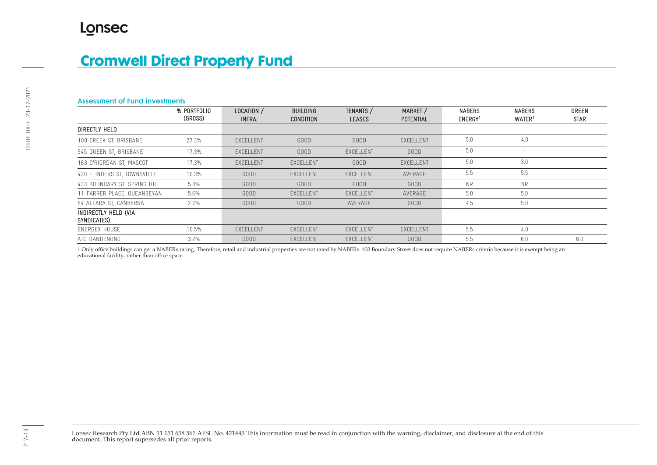#### Assessment of Fund investments

|                                     | % PORTFOLIO<br>(GROSS) | LOCATION /<br>INFRA. | <b>BUILDING</b><br><b>CONDITION</b> | <b>TENANTS /</b><br><b>LEASES</b> | MARKET /<br>POTENTIAL | <b>NABERS</b><br>ENERGY <sup>1</sup> | <b>NABERS</b><br>WATER <sup>1</sup> | <b>GREEN</b><br><b>STAR</b> |
|-------------------------------------|------------------------|----------------------|-------------------------------------|-----------------------------------|-----------------------|--------------------------------------|-------------------------------------|-----------------------------|
| DIRECTLY HELD                       |                        |                      |                                     |                                   |                       |                                      |                                     |                             |
| 100 CREEK ST, BRISBANE              | 27.3%                  | EXCELLENT            | GOOD                                | GOOD                              | EXCELLENT             | 5.0                                  | 4.0                                 |                             |
| 545 QUEEN ST, BRISBANE              | 17.3%                  | EXCELLENT            | GOOD                                | EXCELLENT                         | GOOD                  | 5.0                                  | $\overline{\phantom{a}}$            |                             |
| 163 O'RIORDAN ST, MASCOT            | 17.3%                  | EXCELLENT            | EXCELLENT                           | GOOD                              | EXCELLENT             | 5.0                                  | 3.0                                 |                             |
| 420 FLINDERS ST, TOWNSVILLE         | 10.3%                  | GOOD                 | EXCELLENT                           | EXCELLENT                         | AVERAGE               | 5.5                                  | 5.5                                 |                             |
| 433 BOUNDARY ST, SPRING HILL        | 5.8%                   | GOOD                 | GOOD                                | GOOD                              | GOOD                  | <b>NR</b>                            | <b>NR</b>                           |                             |
| 11 FARRER PLACE, QUEANBEYAN         | 5.6%                   | GOOD                 | EXCELLENT                           | EXCELLENT                         | AVERAGE               | 5.0                                  | 5.0                                 |                             |
| 64 ALLARA ST, CANBERRA              | 2.7%                   | GOOD                 | GOOD                                | AVERAGE                           | GOOD                  | 4.5                                  | 5.0                                 |                             |
| INDIRECTLY HELD (VIA<br>SYNDICATES) |                        |                      |                                     |                                   |                       |                                      |                                     |                             |
| ENERGEX HOUSE                       | 10.5%                  | EXCELLENT            | EXCELLENT                           | EXCELLENT                         | EXCELLENT             | 5.5                                  | 4.0                                 |                             |
| ATO DANDENONG                       | $3.2\%$                | GOOD                 | EXCELLENT                           | EXCELLENT                         | GOOD                  | 5.5                                  | 6.0                                 | 6.0                         |

1.Only office buildings can get a NABERs rating. Therefore, retail and industrial properties are not rated by NABERs. 433 Boundary Street does not require NABERs criteria because it is exempt being an educational facility, rather than office space.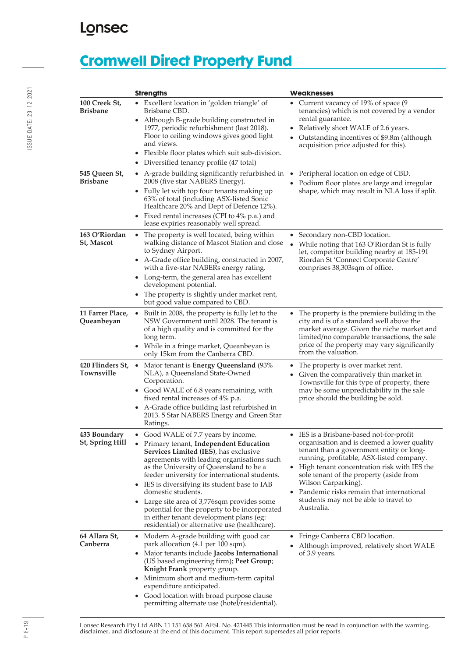# **Cromwell Direct Property Fund**

|                                  | <b>Strengths</b>                                                                                                                                                                                                                                                                                                                                                                                                                                                                                                                                                 | <b>Weaknesses</b>                                                                                                                                                                                                                                                                                                                                                                                                 |
|----------------------------------|------------------------------------------------------------------------------------------------------------------------------------------------------------------------------------------------------------------------------------------------------------------------------------------------------------------------------------------------------------------------------------------------------------------------------------------------------------------------------------------------------------------------------------------------------------------|-------------------------------------------------------------------------------------------------------------------------------------------------------------------------------------------------------------------------------------------------------------------------------------------------------------------------------------------------------------------------------------------------------------------|
| 100 Creek St,<br><b>Brisbane</b> | • Excellent location in 'golden triangle' of<br>Brisbane CBD.<br>Although B-grade building constructed in<br>1977, periodic refurbishment (last 2018).<br>Floor to ceiling windows gives good light<br>and views.<br>Flexible floor plates which suit sub-division.<br>Diversified tenancy profile (47 total)                                                                                                                                                                                                                                                    | • Current vacancy of 19% of space (9<br>tenancies) which is not covered by a vendor<br>rental guarantee.<br>• Relatively short WALE of 2.6 years.<br>Outstanding incentives of \$9.8m (although<br>acquisition price adjusted for this).                                                                                                                                                                          |
| 545 Queen St,<br><b>Brisbane</b> | • A-grade building significantly refurbished in<br>2008 (five star NABERS Energy).<br>Fully let with top four tenants making up<br>63% of total (including ASX-listed Sonic<br>Healthcare 20% and Dept of Defence 12%).<br>Fixed rental increases (CPI to 4% p.a.) and<br>lease expiries reasonably well spread.                                                                                                                                                                                                                                                 | Peripheral location on edge of CBD.<br>• Podium floor plates are large and irregular<br>shape, which may result in NLA loss if split.                                                                                                                                                                                                                                                                             |
| 163 O'Riordan<br>St, Mascot      | The property is well located, being within<br>$\bullet$<br>walking distance of Mascot Station and close<br>to Sydney Airport.<br>• A-Grade office building, constructed in 2007,<br>with a five-star NABERs energy rating.<br>• Long-term, the general area has excellent<br>development potential.<br>The property is slightly under market rent,<br>but good value compared to CBD.                                                                                                                                                                            | • Secondary non-CBD location.<br>While noting that 163 O'Riordan St is fully<br>let, competitor building nearby at 185-191<br>Riordan St 'Connect Corporate Centre'<br>comprises 38,303sqm of office.                                                                                                                                                                                                             |
| 11 Farrer Place,<br>Queanbeyan   | • Built in 2008, the property is fully let to the<br>NSW Government until 2028. The tenant is<br>of a high quality and is committed for the<br>long term.<br>While in a fringe market, Queanbeyan is<br>only 15km from the Canberra CBD.                                                                                                                                                                                                                                                                                                                         | The property is the premiere building in the<br>$\bullet$<br>city and is of a standard well above the<br>market average. Given the niche market and<br>limited/no comparable transactions, the sale<br>price of the property may vary significantly<br>from the valuation.                                                                                                                                        |
| 420 Flinders St,<br>Townsville   | Major tenant is <b>Energy Queensland</b> (93%<br>$\bullet$<br>NLA), a Queensland State-Owned<br>Corporation.<br>• Good WALE of 6.8 years remaining, with<br>fixed rental increases of 4% p.a.<br>• A-Grade office building last refurbished in<br>2013. 5 Star NABERS Energy and Green Star<br>Ratings.                                                                                                                                                                                                                                                          | The property is over market rent.<br>• Given the comparatively thin market in<br>Townsville for this type of property, there<br>may be some unpredictability in the sale<br>price should the building be sold.                                                                                                                                                                                                    |
| 433 Boundary<br>St, Spring Hill  | • Good WALE of 7.7 years by income.<br>Primary tenant, Independent Education<br><b>Services Limited (IES)</b> , has exclusive<br>agreements with leading organisations such<br>as the University of Queensland to be a<br>feeder university for international students.<br>IES is diversifying its student base to IAB<br>$\bullet$<br>domestic students.<br>Large site area of 3,776sqm provides some<br>$\bullet$<br>potential for the property to be incorporated<br>in either tenant development plans (eg:<br>residential) or alternative use (healthcare). | • IES is a Brisbane-based not-for-profit<br>organisation and is deemed a lower quality<br>tenant than a government entity or long-<br>running, profitable, ASX-listed company.<br>High tenant concentration risk with IES the<br>$\bullet$<br>sole tenant of the property (aside from<br>Wilson Carparking).<br>• Pandemic risks remain that international<br>students may not be able to travel to<br>Australia. |
| 64 Allara St.<br>Canberra        | • Modern A-grade building with good car<br>park allocation (4.1 per 100 sqm).<br>• Major tenants include Jacobs International<br>(US based engineering firm); Peet Group;<br>Knight Frank property group.<br>• Minimum short and medium-term capital<br>expenditure anticipated.<br>Good location with broad purpose clause<br>$\bullet$<br>permitting alternate use (hotel/residential).                                                                                                                                                                        | • Fringe Canberra CBD location.<br>Although improved, relatively short WALE<br>of 3.9 years.                                                                                                                                                                                                                                                                                                                      |

Lonsec Research Pty Ltd ABN 11 151 658 561 AFSL No. 421445 This information must be read in conjunction with the warning, disclaimer, and disclosure at the end of this document. This report supersedes all prior reports.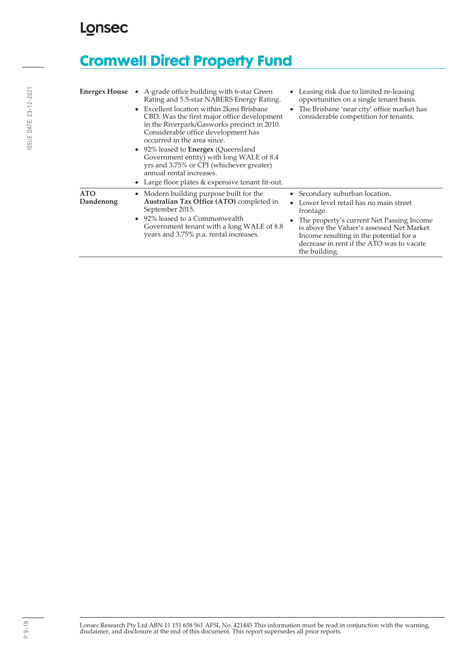# **Cromwell Direct Property Fund**

| <b>Energex House</b>    | A-grade office building with 6-star Green<br>Rating and 5.5-star NABERS Energy Rating.<br>Excellent location within 2kms Brisbane<br>$\bullet$<br>CBD. Was the first major office development<br>in the Riverpark/Gasworks precinct in 2010.<br>Considerable office development has<br>occurred in the area since.<br>• 92% leased to <b>Energex</b> (Queensland<br>Government entity) with long WALE of 8.4<br>yrs and 3.75% or CPI (whichever greater)<br>annual rental increases.<br>Large floor plates & expensive tenant fit-out. | • Leasing risk due to limited re-leasing<br>opportunities on a single tenant basis.<br>The Brisbane 'near city' office market has<br>$\bullet$<br>considerable competition for tenants.                                                                                                 |
|-------------------------|----------------------------------------------------------------------------------------------------------------------------------------------------------------------------------------------------------------------------------------------------------------------------------------------------------------------------------------------------------------------------------------------------------------------------------------------------------------------------------------------------------------------------------------|-----------------------------------------------------------------------------------------------------------------------------------------------------------------------------------------------------------------------------------------------------------------------------------------|
| <b>ATO</b><br>Dandenong | • Modern building purpose built for the<br>Australian Tax Office (ATO) completed in<br>September 2015.<br>• 92% leased to a Commonwealth<br>Government tenant with a long WALE of 8.8<br>years and 3.75% p.a. rental increases.                                                                                                                                                                                                                                                                                                        | • Secondary suburban location.<br>Lower level retail has no main street<br>frontage.<br>The property's current Net Passing Income<br>is above the Valuer's assessed Net Market<br>Income resulting in the potential for a<br>decrease in rent if the ATO was to vacate<br>the building. |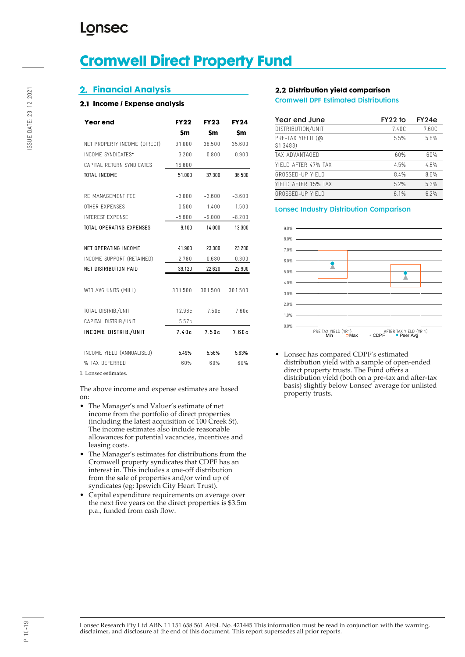# **Cromwell Direct Property Fund**

### **2. Financial Analysis**

### **Income / Expense analysis**

| <b>Year end</b>              | <b>FY22</b> | <b>FY23</b> | <b>FY24</b> |
|------------------------------|-------------|-------------|-------------|
|                              | \$m         | \$m         | \$m         |
| NET PROPERTY INCOME (DIRECT) | 31.000      | 36.500      | 35.600      |
| INCOME SYNDICATES*           | 3.200       | 0.800       | 0.900       |
| CAPITAL RETURN SYNDICATES    | 16.800      |             |             |
| <b>TOTAL INCOME</b>          | 51.000      | 37.300      | 36.500      |
|                              |             |             |             |
| RE MANAGEMENT FEE            | $-3.000$    | $-3.600$    | $-3.600$    |
| OTHER EXPENSES               | $-0.500$    | $-1.400$    | $-1.500$    |
| <b>INTEREST EXPENSE</b>      | $-5.600$    | $-9.000$    | $-8.200$    |
| TOTAL OPERATING EXPENSES     | $-9.100$    | $-14.000$   | $-13.300$   |
|                              |             |             |             |
| NET OPERATING INCOME         | 41.900      | 23.300      | 23.200      |
| INCOME SUPPORT (RETAINED)    | $-2.780$    | $-0.680$    | $-0.300$    |
| NET DISTRIBUTION PAID        | 39.120      | 22.620      | 22.900      |
|                              |             |             |             |
| WTD AVG UNITS (MILL)         | 301.500     | 301.500     | 301.500     |
|                              |             |             |             |
| TOTAL DISTRIB./UNIT          | 12.98c      | 7.50c       | 7.60c       |
| CAPITAL DISTRIB./UNIT        | 5.57c       |             |             |
| INCOME DISTRIB./UNIT         | 7.40c       | 7.50c       | 7.60c       |
|                              |             |             |             |
| INCOME YIELD (ANNUALISED)    | 5.49%       | 5.56%       | 5.63%       |
| % TAX DEFERRED               | 60%         | 60%         | 60%         |
| 1 Lonsec estimates           |             |             |             |

The above income and expense estimates are based on:

- The Manager's and Valuer's estimate of net income from the portfolio of direct properties (including the latest acquisition of 100 Creek St). The income estimates also include reasonable allowances for potential vacancies, incentives and leasing costs.
- The Manager's estimates for distributions from the Cromwell property syndicates that CDPF has an interest in. This includes a one-off distribution from the sale of properties and/or wind up of syndicates (eg: Ipswich City Heart Trust).
- Capital expenditure requirements on average over the next five years on the direct properties is \$3.5m p.a., funded from cash flow.

### **2.2 Distribution yield comparison**

Cromwell DPF Estimated Distributions

| Year end June                 | FY22 to | FY24e |
|-------------------------------|---------|-------|
| DISTRIBUTION/UNIT             | 7.40C   | 7.60C |
| PRE-TAX YIELD (@<br>\$1.3483) | 5.5%    | 5.6%  |
| TAX ADVANTAGED                | 60%     | 60%   |
| YIFLD AFTER 47% TAX           | 4.5%    | 4.6%  |
| GROSSED-UP YIELD              | 8.4%    | 8.6%  |
| YIFLD AFTER 15% TAX           | 5.2%    | 5.3%  |
| GROSSED-UP YIFI D             | 6 1%    | 6 2%  |

### Lonsec Industry Distribution Comparison



• Lonsec has compared CDPF's estimated distribution yield with a sample of open-ended direct property trusts. The Fund offers a distribution yield (both on a pre-tax and after-tax basis) slightly below Lonsec' average for unlisted property trusts.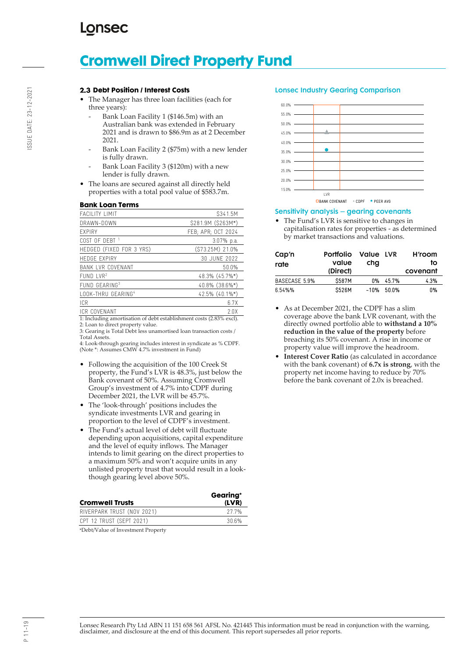# **Cromwell Direct Property Fund**

#### **2.3 Debt Position / Interest Costs**

- The Manager has three loan facilities (each for three years):
	- Bank Loan Facility 1 (\$146.5m) with an
		- Australian bank was extended in February 2021 and is drawn to \$86.9m as at 2 December 2021.
	- Bank Loan Facility 2 (\$75m) with a new lender is fully drawn.
	- Bank Loan Facility 3 (\$120m) with a new lender is fully drawn.
- The loans are secured against all directly held properties with a total pool value of \$583.7m.

#### **Bank Loan Terms**

| <b>FACILITY LIMIT</b>          | S341.5M            |
|--------------------------------|--------------------|
| DRAWN-DOWN                     | \$281.9M (\$263M*) |
| <b>FXPIRY</b>                  | FEB; APR; OCT 2024 |
| COST OF DEBT <sup>1</sup>      | 3.07% p.a.         |
| HEDGED (FIXED FOR 3 YRS)       | (\$73.25M) 21.0%   |
| <b>HEDGE EXPIRY</b>            | 30 JUNE 2022       |
| <b>BANK LVR COVENANT</b>       | 50.0%              |
| $FUND$ LVR <sup>2</sup>        | 48.3% (45.7%*)     |
| FUND GEARING <sup>3</sup>      | 40.8% (38.6%*)     |
| LOOK-THRU GEARING <sup>4</sup> | 42.5% (40.1%*)     |
| ICR                            | 6.7X               |
| ICR COVENANT                   | 2.0X               |

1: Including amortisation of debt establishment costs (2.83% excl). 2: Loan to direct property value.

3: Gearing is Total Debt less unamortised loan transaction costs / Total Assets.

4: Look-through gearing includes interest in syndicate as % CDPF. (Note \*: Assumes CMW 4.7% investment in Fund)

- Following the acquisition of the 100 Creek St property, the Fund's LVR is 48.3%, just below the Bank covenant of 50%. Assuming Cromwell Group's investment of 4.7% into CDPF during December 2021, the LVR will be 45.7%.
- The 'look-through' positions includes the syndicate investments LVR and gearing in proportion to the level of CDPF's investment.
- The Fund's actual level of debt will fluctuate depending upon acquisitions, capital expenditure and the level of equity inflows. The Manager intends to limit gearing on the direct properties to a maximum 50% and won't acquire units in any unlisted property trust that would result in a lookthough gearing level above 50%.

| <b>Cromwell Trusts</b>     | Gearing*<br>(LVR) |
|----------------------------|-------------------|
| RIVERPARK TRUST (NOV 2021) | 27 7%             |
| CPT 12 TRUST (SEPT 2021)   | 30.6%             |

\*Debt/Value of Investment Property

#### Lonsec Industry Gearing Comparison



### Sensitivity analysis – gearing covenants

• The Fund's LVR is sensitive to changes in capitalisation rates for properties - as determined by market transactions and valuations.

| Cap'n<br>rate | <b>Portfolio</b><br>value<br>(Direct) | Value LVR<br>chg |              | H'room<br>to<br>covenant |
|---------------|---------------------------------------|------------------|--------------|--------------------------|
| BASECASE 5.9% | <b>\$587M</b>                         | 0%               | 45.7%        | 4.3%                     |
| 6.54%%        | <b>\$526M</b>                         |                  | $-10\%$ 500% | በ‰                       |

- As at December 2021, the CDPF has a slim coverage above the bank LVR covenant, with the directly owned portfolio able to **withstand a 10% reduction in the value of the property** before breaching its 50% covenant. A rise in income or property value will improve the headroom.
- **Interest Cover Ratio** (as calculated in accordance with the bank covenant) of **6.7x is strong**, with the property net income having to reduce by 70% before the bank covenant of 2.0x is breached.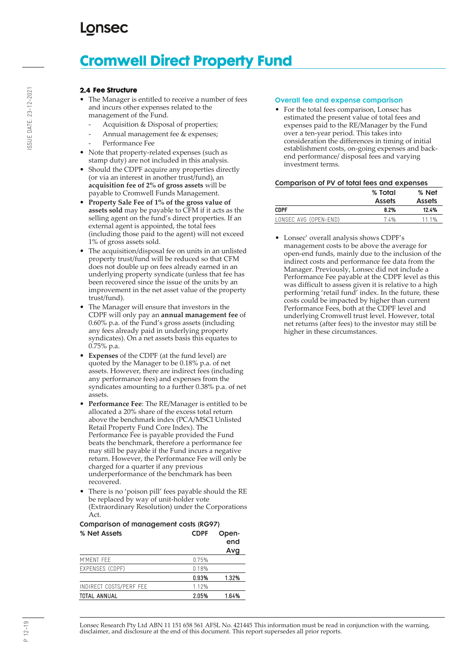# **Cromwell Direct Property Fund**

### **2.4 Fee Structure**

- The Manager is entitled to receive a number of fees and incurs other expenses related to the management of the Fund.
	- Acquisition & Disposal of properties;
	- Annual management fee & expenses;
	- Performance Fee
- Note that property-related expenses (such as stamp duty) are not included in this analysis.
- Should the CDPF acquire any properties directly (or via an interest in another trust/fund), an **acquisition fee of 2% of gross assets** will be payable to Cromwell Funds Management.
- **Property Sale Fee of 1% of the gross value of assets sold** may be payable to CFM if it acts as the selling agent on the fund's direct properties. If an external agent is appointed, the total fees (including those paid to the agent) will not exceed 1% of gross assets sold.
- The acquisition/disposal fee on units in an unlisted property trust/fund will be reduced so that CFM does not double up on fees already earned in an underlying property syndicate (unless that fee has been recovered since the issue of the units by an improvement in the net asset value of the property trust/fund).
- The Manager will ensure that investors in the CDPF will only pay an **annual management fee** of 0.60% p.a. of the Fund's gross assets (including any fees already paid in underlying property syndicates). On a net assets basis this equates to 0.75% p.a.
- **Expenses** of the CDPF (at the fund level) are quoted by the Manager to be 0.18% p.a. of net assets. However, there are indirect fees (including any performance fees) and expenses from the syndicates amounting to a further 0.38% p.a. of net assets.
- **Performance Fee**: The RE/Manager is entitled to be allocated a 20% share of the excess total return above the benchmark index (PCA/MSCI Unlisted Retail Property Fund Core Index). The Performance Fee is payable provided the Fund beats the benchmark, therefore a performance fee may still be payable if the Fund incurs a negative return. However, the Performance Fee will only be charged for a quarter if any previous underperformance of the benchmark has been recovered.
- There is no 'poison pill' fees payable should the RE be replaced by way of unit-holder vote (Extraordinary Resolution) under the Corporations Act.

### Comparison of management costs (RG97) % Net Assets CDPF Open-

|                         |       | end   |
|-------------------------|-------|-------|
|                         |       | Avg   |
| M'MENT FEE              | 0.75% |       |
| EXPENSES (CDPF)         | 0.18% |       |
|                         | 0.93% | 1.32% |
| INDIRECT COSTS/PERF FEE | 1.12% |       |
| <b>TOTAL ANNUAL</b>     | 2.05% | 1.64% |

#### Overall fee and expense comparison

• For the total fees comparison, Lonsec has estimated the present value of total fees and expenses paid to the RE/Manager by the Fund over a ten-year period. This takes into consideration the differences in timing of initial establishment costs, on-going expenses and backend performance/ disposal fees and varying investment terms.

### Comparison of PV of total fees and expenses

|                       | % Total       | % Net         |  |
|-----------------------|---------------|---------------|--|
|                       | <b>Assets</b> | <b>Assets</b> |  |
| <b>CDPF</b>           | 8.2%          | 12.4%         |  |
| LONSEC AVG (OPEN-END) | 74%           | 111%          |  |

• Lonsec' overall analysis shows CDPF's management costs to be above the average for open-end funds, mainly due to the inclusion of the indirect costs and performance fee data from the Manager. Previously, Lonsec did not include a Performance Fee payable at the CDPF level as this was difficult to assess given it is relative to a high performing 'retail fund' index. In the future, these costs could be impacted by higher than current Performance Fees, both at the CDPF level and underlying Cromwell trust level. However, total net returns (after fees) to the investor may still be higher in these circumstances.

Lonsec Research Pty Ltd ABN 11 151 658 561 AFSL No. 421445 This information must be read in conjunction with the warning, disclaimer, and disclosure at the end of this document. This report supersedes all prior reports.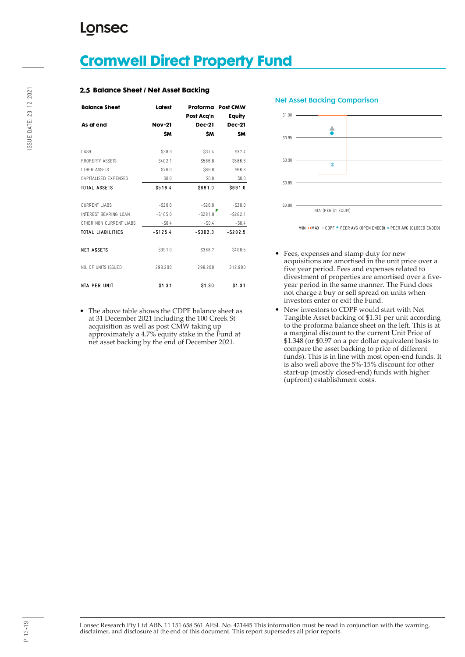## **Cromwell Direct Property Fund**

### **2.5 Balance Sheet / Net Asset Backing**

| <b>Balance Sheet</b>     | Latest           | Post Acq'n    | Proforma Post CMW<br>Equity |
|--------------------------|------------------|---------------|-----------------------------|
| As at end                | <b>Nov-21</b>    | <b>Dec-21</b> | <b>Dec-21</b>               |
|                          | <b>SM</b>        | <b>SM</b>     | <b>SM</b>                   |
| CASH                     | S38.3            | S37.4         | S37.4                       |
| PROPERTY ASSETS          | S402.1           | S586.8        | S586.8                      |
| OTHER ASSETS             | S76.0            | S66.8         | S66.8                       |
| CAPITALISED EXPENSES     | S <sub>0.0</sub> | \$0.0         | \$0.0                       |
| <b>TOTAL ASSETS</b>      | S516.4           | \$691.0       | \$691.0                     |
|                          |                  |               |                             |
| <b>CURRENT LIABS</b>     | $-S20.0$         | $-S20.0$      | $-$ S20.0                   |
| INTEREST BEARING LOAN    | $- $105.0$       | $-$ \$281.9   | $-$ S262.1                  |
| OTHER NON CURRENT LIABS. | $-S0.4$          | $-S0.4$       | $-S0.4$                     |
| <b>TOTAL LIABILITIES</b> | $-$ S125.4       | $-$ \$302.3   | $-$ S282.5                  |
|                          |                  |               |                             |
| <b>NET ASSETS</b>        | S391.0           | S388.7        | S408.5                      |
|                          |                  |               |                             |
| NO. OF UNITS ISSUED.     | 298.200          | 298.200       | 312.900                     |
|                          |                  |               |                             |
| <b>NTA PER UNIT</b>      | \$1.31           | \$1.30        | \$1.31                      |

• The above table shows the CDPF balance sheet as at 31 December 2021 including the 100 Creek St acquisition as well as post CMW taking up approximately a 4.7% equity stake in the Fund at net asset backing by the end of December 2021.





- Fees, expenses and stamp duty for new acquisitions are amortised in the unit price over a five year period. Fees and expenses related to divestment of properties are amortised over a fiveyear period in the same manner. The Fund does not charge a buy or sell spread on units when investors enter or exit the Fund.
- New investors to CDPF would start with Net Tangible Asset backing of \$1.31 per unit according to the proforma balance sheet on the left. This is at a marginal discount to the current Unit Price of \$1.348 (or \$0.97 on a per dollar equivalent basis to compare the asset backing to price of different funds). This is in line with most open-end funds. It is also well above the 5%-15% discount for other start-up (mostly closed-end) funds with higher (upfront) establishment costs.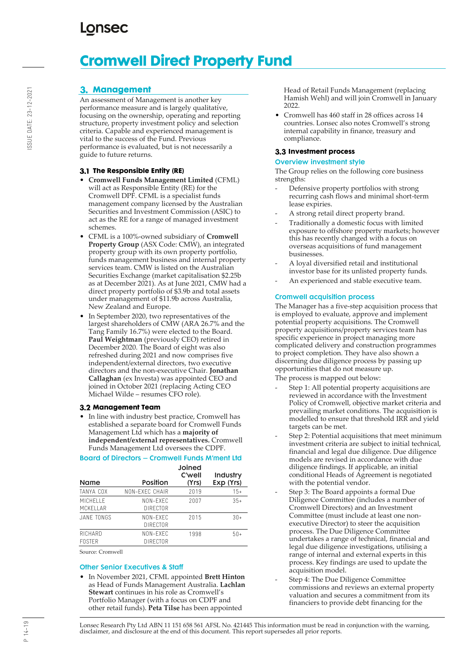# **Cromwell Direct Property Fund**

### **Management**

An assessment of Management is another key performance measure and is largely qualitative, focusing on the ownership, operating and reporting structure, property investment policy and selection criteria. Capable and experienced management is vital to the success of the Fund. Previous performance is evaluated, but is not necessarily a guide to future returns.

### **The Responsible Entity (RE)**

- **Cromwell Funds Management Limited** (CFML) will act as Responsible Entity (RE) for the Cromwell DPF. CFML is a specialist funds management company licensed by the Australian Securities and Investment Commission (ASIC) to act as the RE for a range of managed investment schemes.
- CFML is a 100%-owned subsidiary of **Cromwell Property Group** (ASX Code: CMW), an integrated property group with its own property portfolio, funds management business and internal property services team. CMW is listed on the Australian Securities Exchange (market capitalisation \$2.25b as at December 2021). As at June 2021, CMW had a direct property portfolio of \$3.9b and total assets under management of \$11.9b across Australia, New Zealand and Europe.
- In September 2020, two representatives of the largest shareholders of CMW (ARA 26.7% and the Tang Family 16.7%) were elected to the Board. **Paul Weightman** (previously CEO) retired in December 2020. The Board of eight was also refreshed during 2021 and now comprises five independent/external directors, two executive directors and the non-executive Chair. **Jonathan Callaghan** (ex Investa) was appointed CEO and joined in October 2021 (replacing Acting CEO Michael Wilde – resumes CFO role).

### **Management Team**

• In line with industry best practice, Cromwell has established a separate board for Cromwell Funds Management Ltd which has a **majority of independent/external representatives.** Cromwell Funds Management Ltd oversees the CDPF.

### Board of Directors – Cromwell Funds M'ment Ltd

| <b>Name</b>                 | Position             | Joined<br>C'well<br>(Yrs) | Industry<br>Exp (Yrs) |
|-----------------------------|----------------------|---------------------------|-----------------------|
| <b>TANYA COX</b>            | NON-FXFC CHAIR       | 2019                      | $15+$                 |
| <b>MICHELLE</b><br>MCKFIIAR | NON-FXFC<br>DIRECTOR | 2007                      | $35+$                 |
| JANF TONGS                  | NON-FXFC<br>DIRFCTOR | 2015                      | $30+$                 |
| RICHARD<br><b>FOSTER</b>    | NON-FXFC<br>DIRFCTOR | 1998                      | $50+$                 |

Source: Cromwell

#### Other Senior Executives & Staff

• In November 2021, CFML appointed **Brett Hinton** as Head of Funds Management Australia. **Lachlan Stewart** continues in his role as Cromwell's Portfolio Manager (with a focus on CDPF and other retail funds). **Peta Tilse** has been appointed

Head of Retail Funds Management (replacing Hamish Wehl) and will join Cromwell in January 2022.

• Cromwell has 460 staff in 28 offices across 14 countries. Lonsec also notes Cromwell's strong internal capability in finance, treasury and compliance.

### **Investment process**

#### Overview investment style

The Group relies on the following core business strengths:

- Defensive property portfolios with strong recurring cash flows and minimal short-term lease expiries.
- A strong retail direct property brand.
- Traditionally a domestic focus with limited exposure to offshore property markets; however this has recently changed with a focus on overseas acquisitions of fund management businesses.
- A loyal diversified retail and institutional investor base for its unlisted property funds.
- An experienced and stable executive team.

### Cromwell acquisition process

The Manager has a five-step acquisition process that is employed to evaluate, approve and implement potential property acquisitions. The Cromwell property acquisitions/property services team has specific experience in project managing more complicated delivery and construction programmes to project completion. They have also shown a discerning due diligence process by passing up opportunities that do not measure up.

The process is mapped out below:

- Step 1: All potential property acquisitions are reviewed in accordance with the Investment Policy of Cromwell, objective market criteria and prevailing market conditions. The acquisition is modelled to ensure that threshold IRR and yield targets can be met.
- Step 2: Potential acquisitions that meet minimum investment criteria are subject to initial technical, financial and legal due diligence. Due diligence models are revised in accordance with due diligence findings. If applicable, an initial conditional Heads of Agreement is negotiated with the potential vendor.
- Step 3: The Board appoints a formal Due Diligence Committee (includes a number of Cromwell Directors) and an Investment Committee (must include at least one nonexecutive Director) to steer the acquisition process. The Due Diligence Committee undertakes a range of technical, financial and legal due diligence investigations, utilising a range of internal and external experts in this process. Key findings are used to update the acquisition model.
- Step 4: The Due Diligence Committee commissions and reviews an external property valuation and secures a commitment from its financiers to provide debt financing for the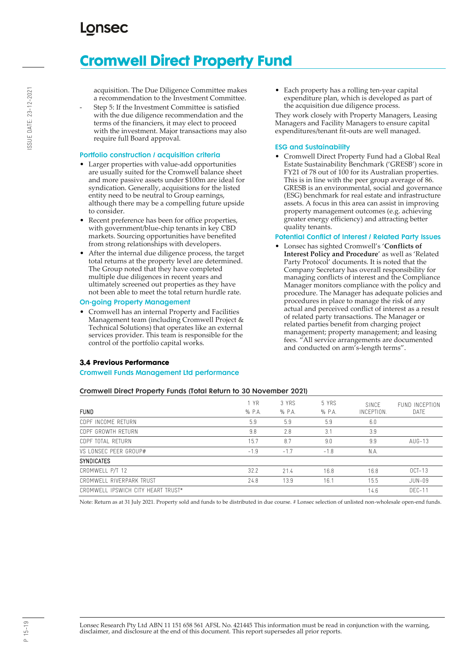# **Cromwell Direct Property Fund**

acquisition. The Due Diligence Committee makes a recommendation to the Investment Committee.

Step 5: If the Investment Committee is satisfied with the due diligence recommendation and the terms of the financiers, it may elect to proceed with the investment. Major transactions may also require full Board approval.

#### Portfolio construction / acquisition criteria

- Larger properties with value-add opportunities are usually suited for the Cromwell balance sheet and more passive assets under \$100m are ideal for syndication. Generally, acquisitions for the listed entity need to be neutral to Group earnings, although there may be a compelling future upside to consider.
- Recent preference has been for office properties, with government/blue-chip tenants in key CBD markets. Sourcing opportunities have benefited from strong relationships with developers.
- After the internal due diligence process, the target total returns at the property level are determined. The Group noted that they have completed multiple due diligences in recent years and ultimately screened out properties as they have not been able to meet the total return hurdle rate.

#### On-going Property Management

• Cromwell has an internal Property and Facilities Management team (including Cromwell Project & Technical Solutions) that operates like an external services provider. This team is responsible for the control of the portfolio capital works.

### **Previous Performance**

#### Cromwell Funds Management Ltd performance

• Each property has a rolling ten-year capital expenditure plan, which is developed as part of the acquisition due diligence process.

They work closely with Property Managers, Leasing Managers and Facility Managers to ensure capital expenditures/tenant fit-outs are well managed.

### ESG and Sustainability

• Cromwell Direct Property Fund had a Global Real Estate Sustainability Benchmark ('GRESB') score in FY21 of 78 out of 100 for its Australian properties. This is in line with the peer group average of 86. GRESB is an environmental, social and governance (ESG) benchmark for real estate and infrastructure assets. A focus in this area can assist in improving property management outcomes (e.g. achieving greater energy efficiency) and attracting better quality tenants.

### Potential Conflict of Interest / Related Party Issues

• Lonsec has sighted Cromwell's '**Conflicts of Interest Policy and Procedure**' as well as 'Related Party Protocol' documents. It is noted that the Company Secretary has overall responsibility for managing conflicts of interest and the Compliance Manager monitors compliance with the policy and procedure. The Manager has adequate policies and procedures in place to manage the risk of any actual and perceived conflict of interest as a result of related party transactions. The Manager or related parties benefit from charging project management; property management; and leasing fees. "All service arrangements are documented and conducted on arm's-length terms".

### Cromwell Direct Property Funds (Total Return to 30 November 2021)

| FUND                               | 1 YR<br>$%$ P.A. | 3 YRS<br>$%$ P.A. | 5 YRS<br>$%$ P.A. | SINCF<br>INCEPTION. | FUND INCEPTION<br>DATE |
|------------------------------------|------------------|-------------------|-------------------|---------------------|------------------------|
| CDPF INCOME RETURN                 | 5.9              | 5.9               | 5.9               | 6.0                 |                        |
| CDPF GROWTH RFTURN                 | 9.8              | 2.8               | 3.1               | 3.9                 |                        |
| CDPF TOTAL RETURN                  | 15.7             | 8.7               | 9.0               | 9.9                 | $AUG-13$               |
| VS LONSEC PFFR GROUP#              | $-1.9$           | $-1.7$            | $-1.8$            | N.A.                |                        |
| <b>SYNDICATES</b>                  |                  |                   |                   |                     |                        |
| CROMWELL P/T 12                    | 32.2             | 71.4              | 16.8              | 16.8                | $OCT-13$               |
| CROMWELL RIVERPARK TRUST           | 24.8             | 13.9              | 16.1              | 15.5                | JUN-09                 |
| CROMWELL IPSWICH CITY HEART TRUST* |                  |                   |                   | 14.6                | $DFC-11$               |

Note: Return as at 31 July 2021. Property sold and funds to be distributed in due course. # Lonsec selection of unlisted non-wholesale open-end funds.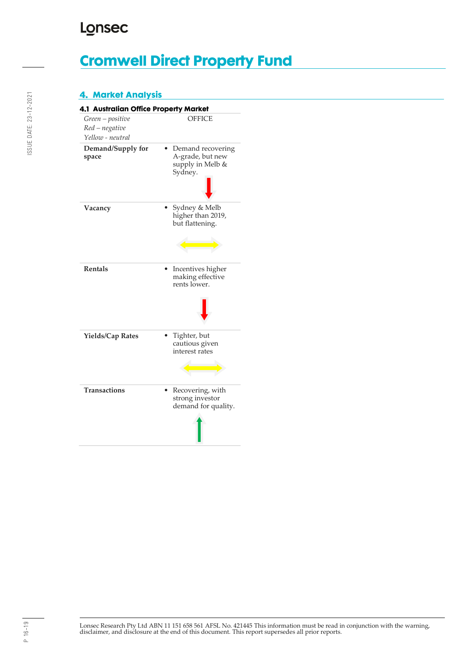# **Cromwell Direct Property Fund**

### **4. Market Analysis**

| 4.1 Australian Office Property Market                  |                                                                      |
|--------------------------------------------------------|----------------------------------------------------------------------|
| Green - positive<br>Red - negative<br>Yellow - neutral | OFFICE                                                               |
| Demand/Supply for<br>space                             | Demand recovering<br>A-grade, but new<br>supply in Melb &<br>Sydney. |
| Vacancy                                                | Sydney & Melb<br>higher than 2019,<br>but flattening.                |
| <b>Rentals</b>                                         | Incentives higher<br>making effective<br>rents lower.                |
| <b>Yields/Cap Rates</b>                                | Tighter, but<br>cautious given<br>interest rates                     |
| <b>Transactions</b>                                    | Recovering, with<br>strong investor<br>demand for quality.           |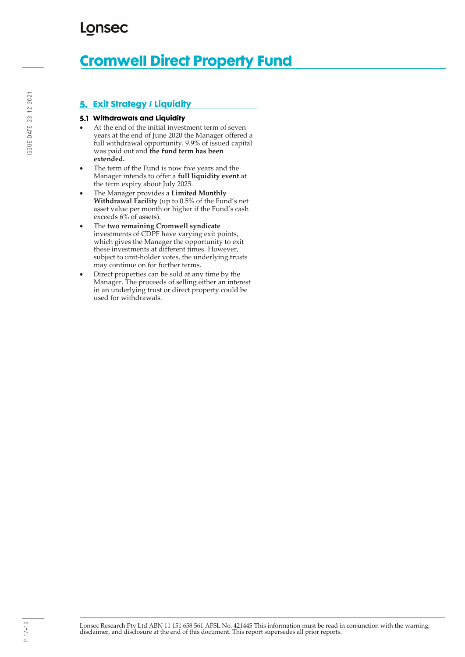# **Cromwell Direct Property Fund**

### **Exit Strategy / Liquidity**

### **Withdrawals and Liquidity**

- At the end of the initial investment term of seven years at the end of June 2020 the Manager offered a full withdrawal opportunity. 9.9% of issued capital was paid out and **the fund term has been extended.**
- The term of the Fund is now five years and the Manager intends to offer a **full liquidity event** at the term expiry about July 2025.
- The Manager provides a **Limited Monthly Withdrawal Facility** (up to 0.5% of the Fund's net asset value per month or higher if the Fund's cash exceeds 6% of assets).
- The **two remaining Cromwell syndicate** investments of CDPF have varying exit points, which gives the Manager the opportunity to exit these investments at different times. However, subject to unit-holder votes, the underlying trusts may continue on for further terms.
- Direct properties can be sold at any time by the Manager. The proceeds of selling either an interest in an underlying trust or direct property could be used for withdrawals.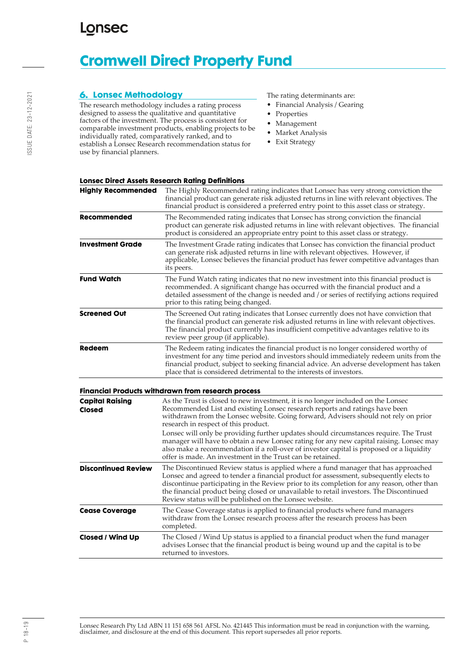# **Cromwell Direct Property Fund**

### **Lonsec Methodology**

The research methodology includes a rating process designed to assess the qualitative and quantitative factors of the investment. The process is consistent for comparable investment products, enabling projects to be individually rated, comparatively ranked, and to establish a Lonsec Research recommendation status for use by financial planners.

The rating determinants are:

- Financial Analysis / Gearing
- Properties
- Management
- Market Analysis
- Exit Strategy

### **Lonsec Direct Assets Research Rating Definitions**

| <b>Highly Recommended</b>        | The Highly Recommended rating indicates that Lonsec has very strong conviction the<br>financial product can generate risk adjusted returns in line with relevant objectives. The<br>financial product is considered a preferred entry point to this asset class or strategy.                                                                                                                                                    |
|----------------------------------|---------------------------------------------------------------------------------------------------------------------------------------------------------------------------------------------------------------------------------------------------------------------------------------------------------------------------------------------------------------------------------------------------------------------------------|
| Recommended                      | The Recommended rating indicates that Lonsec has strong conviction the financial<br>product can generate risk adjusted returns in line with relevant objectives. The financial<br>product is considered an appropriate entry point to this asset class or strategy.                                                                                                                                                             |
| <b>Investment Grade</b>          | The Investment Grade rating indicates that Lonsec has conviction the financial product<br>can generate risk adjusted returns in line with relevant objectives. However, if<br>applicable, Lonsec believes the financial product has fewer competitive advantages than<br>its peers.                                                                                                                                             |
| <b>Fund Watch</b>                | The Fund Watch rating indicates that no new investment into this financial product is<br>recommended. A significant change has occurred with the financial product and a<br>detailed assessment of the change is needed and / or series of rectifying actions required<br>prior to this rating being changed.                                                                                                                   |
| <b>Screened Out</b>              | The Screened Out rating indicates that Lonsec currently does not have conviction that<br>the financial product can generate risk adjusted returns in line with relevant objectives.<br>The financial product currently has insufficient competitive advantages relative to its<br>review peer group (if applicable).                                                                                                            |
| Redeem                           | The Redeem rating indicates the financial product is no longer considered worthy of<br>investment for any time period and investors should immediately redeem units from the<br>financial product, subject to seeking financial advice. An adverse development has taken<br>place that is considered detrimental to the interests of investors.                                                                                 |
|                                  | <b>Financial Products withdrawn from research process</b>                                                                                                                                                                                                                                                                                                                                                                       |
| <b>Capital Raising</b><br>Closed | As the Trust is closed to new investment, it is no longer included on the Lonsec<br>Recommended List and existing Lonsec research reports and ratings have been<br>withdrawn from the Lonsec website. Going forward, Advisers should not rely on prior<br>research in respect of this product.                                                                                                                                  |
|                                  | Lonsec will only be providing further updates should circumstances require. The Trust<br>manager will have to obtain a new Lonsec rating for any new capital raising. Lonsec may<br>also make a recommendation if a roll-over of investor capital is proposed or a liquidity<br>offer is made. An investment in the Trust can be retained.                                                                                      |
| <b>Discontinued Review</b>       | The Discontinued Review status is applied where a fund manager that has approached<br>Lonsec and agreed to tender a financial product for assessment, subsequently elects to<br>discontinue participating in the Review prior to its completion for any reason, other than<br>the financial product being closed or unavailable to retail investors. The Discontinued<br>Review status will be published on the Lonsec website. |
| <b>Cease Coverage</b>            | The Cease Coverage status is applied to financial products where fund managers<br>withdraw from the Lonsec research process after the research process has been<br>completed.                                                                                                                                                                                                                                                   |
| <b>Closed / Wind Up</b>          | The Closed / Wind Up status is applied to a financial product when the fund manager<br>advises Lonsec that the financial product is being wound up and the capital is to be<br>returned to investors.                                                                                                                                                                                                                           |
|                                  |                                                                                                                                                                                                                                                                                                                                                                                                                                 |